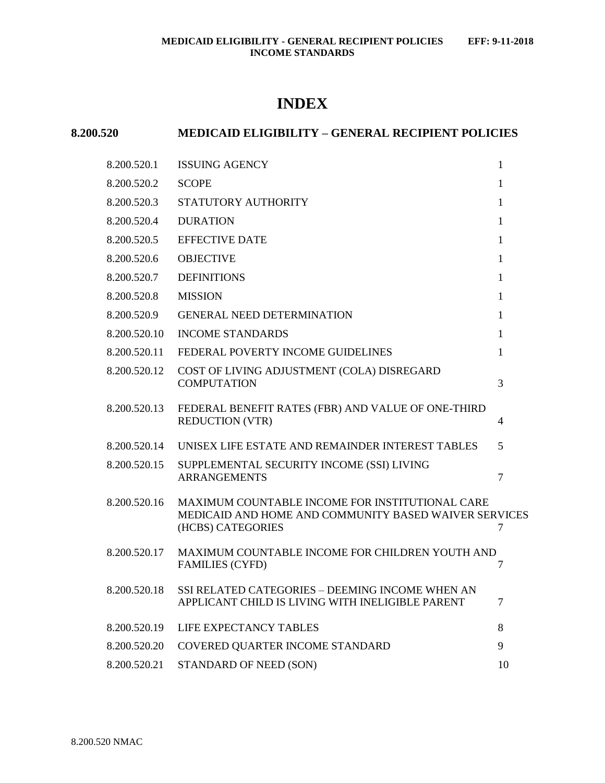# **INDEX**

## **8.200.520 MEDICAID ELIGIBILITY – GENERAL RECIPIENT POLICIES**

| 8.200.520.1  | <b>ISSUING AGENCY</b>                                                                                                         | $\mathbf{1}$   |
|--------------|-------------------------------------------------------------------------------------------------------------------------------|----------------|
| 8.200.520.2  | <b>SCOPE</b>                                                                                                                  | 1              |
| 8.200.520.3  | STATUTORY AUTHORITY                                                                                                           | $\mathbf{1}$   |
| 8.200.520.4  | <b>DURATION</b>                                                                                                               | 1              |
| 8.200.520.5  | <b>EFFECTIVE DATE</b>                                                                                                         | $\mathbf{1}$   |
| 8.200.520.6  | <b>OBJECTIVE</b>                                                                                                              | $\mathbf{1}$   |
| 8.200.520.7  | <b>DEFINITIONS</b>                                                                                                            | $\mathbf{1}$   |
| 8.200.520.8  | <b>MISSION</b>                                                                                                                | $\mathbf{1}$   |
| 8.200.520.9  | <b>GENERAL NEED DETERMINATION</b>                                                                                             | $\mathbf{1}$   |
| 8.200.520.10 | <b>INCOME STANDARDS</b>                                                                                                       | $\mathbf{1}$   |
| 8.200.520.11 | FEDERAL POVERTY INCOME GUIDELINES                                                                                             | 1              |
| 8.200.520.12 | COST OF LIVING ADJUSTMENT (COLA) DISREGARD<br><b>COMPUTATION</b>                                                              | 3              |
| 8.200.520.13 | FEDERAL BENEFIT RATES (FBR) AND VALUE OF ONE-THIRD<br><b>REDUCTION (VTR)</b>                                                  | 4              |
| 8.200.520.14 | UNISEX LIFE ESTATE AND REMAINDER INTEREST TABLES                                                                              | 5              |
| 8.200.520.15 | SUPPLEMENTAL SECURITY INCOME (SSI) LIVING<br><b>ARRANGEMENTS</b>                                                              | 7              |
| 8.200.520.16 | MAXIMUM COUNTABLE INCOME FOR INSTITUTIONAL CARE<br>MEDICAID AND HOME AND COMMUNITY BASED WAIVER SERVICES<br>(HCBS) CATEGORIES | $\overline{7}$ |
| 8.200.520.17 | MAXIMUM COUNTABLE INCOME FOR CHILDREN YOUTH AND<br><b>FAMILIES (CYFD)</b>                                                     | 7              |
| 8.200.520.18 | SSI RELATED CATEGORIES - DEEMING INCOME WHEN AN<br>APPLICANT CHILD IS LIVING WITH INELIGIBLE PARENT                           | 7              |
| 8.200.520.19 | LIFE EXPECTANCY TABLES                                                                                                        | 8              |
| 8.200.520.20 | COVERED QUARTER INCOME STANDARD                                                                                               | 9              |
| 8.200.520.21 | STANDARD OF NEED (SON)                                                                                                        | 10             |
|              |                                                                                                                               |                |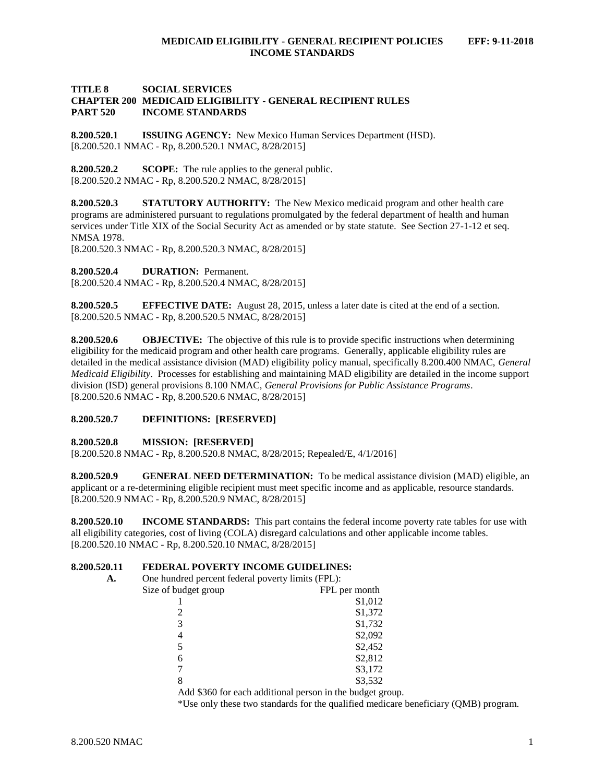#### **TITLE 8 SOCIAL SERVICES CHAPTER 200 MEDICAID ELIGIBILITY - GENERAL RECIPIENT RULES PART 520 INCOME STANDARDS**

<span id="page-1-0"></span>**8.200.520.1 ISSUING AGENCY:** New Mexico Human Services Department (HSD). [8.200.520.1 NMAC - Rp, 8.200.520.1 NMAC, 8/28/2015]

<span id="page-1-1"></span>**8.200.520.2 SCOPE:** The rule applies to the general public. [8.200.520.2 NMAC - Rp, 8.200.520.2 NMAC, 8/28/2015]

<span id="page-1-2"></span>**8.200.520.3 STATUTORY AUTHORITY:** The New Mexico medicaid program and other health care programs are administered pursuant to regulations promulgated by the federal department of health and human services under Title XIX of the Social Security Act as amended or by state statute. See Section 27-1-12 et seq. NMSA 1978.

[8.200.520.3 NMAC - Rp, 8.200.520.3 NMAC, 8/28/2015]

<span id="page-1-3"></span>**8.200.520.4 DURATION:** Permanent.

[8.200.520.4 NMAC - Rp, 8.200.520.4 NMAC, 8/28/2015]

<span id="page-1-4"></span>**8.200.520.5 EFFECTIVE DATE:** August 28, 2015, unless a later date is cited at the end of a section. [8.200.520.5 NMAC - Rp, 8.200.520.5 NMAC, 8/28/2015]

<span id="page-1-5"></span>**8.200.520.6 OBJECTIVE:** The objective of this rule is to provide specific instructions when determining eligibility for the medicaid program and other health care programs. Generally, applicable eligibility rules are detailed in the medical assistance division (MAD) eligibility policy manual, specifically 8.200.400 NMAC, *General Medicaid Eligibility*. Processes for establishing and maintaining MAD eligibility are detailed in the income support division (ISD) general provisions 8.100 NMAC, *General Provisions for Public Assistance Programs*. [8.200.520.6 NMAC - Rp, 8.200.520.6 NMAC, 8/28/2015]

#### <span id="page-1-6"></span>**8.200.520.7 DEFINITIONS: [RESERVED]**

#### <span id="page-1-7"></span>**8.200.520.8 MISSION: [RESERVED]**

[8.200.520.8 NMAC - Rp, 8.200.520.8 NMAC, 8/28/2015; Repealed/E, 4/1/2016]

<span id="page-1-8"></span>**8.200.520.9 GENERAL NEED DETERMINATION:** To be medical assistance division (MAD) eligible, an applicant or a re-determining eligible recipient must meet specific income and as applicable, resource standards. [8.200.520.9 NMAC - Rp, 8.200.520.9 NMAC, 8/28/2015]

<span id="page-1-9"></span>**8.200.520.10 INCOME STANDARDS:** This part contains the federal income poverty rate tables for use with all eligibility categories, cost of living (COLA) disregard calculations and other applicable income tables. [8.200.520.10 NMAC - Rp, 8.200.520.10 NMAC, 8/28/2015]

#### <span id="page-1-10"></span>**8.200.520.11 FEDERAL POVERTY INCOME GUIDELINES:**

| А. | One hundred percent federal poverty limits (FPL): |                                                           |
|----|---------------------------------------------------|-----------------------------------------------------------|
|    | Size of budget group                              | FPL per month                                             |
|    |                                                   | \$1,012                                                   |
|    |                                                   | \$1,372                                                   |
|    | 3                                                 | \$1,732                                                   |
|    | 4                                                 | \$2,092                                                   |
|    | 5                                                 | \$2,452                                                   |
|    | 6                                                 | \$2,812                                                   |
|    |                                                   | \$3,172                                                   |
|    | 8                                                 | \$3,532                                                   |
|    |                                                   | Add \$360 for each additional person in the budget group. |

\*Use only these two standards for the qualified medicare beneficiary (QMB) program.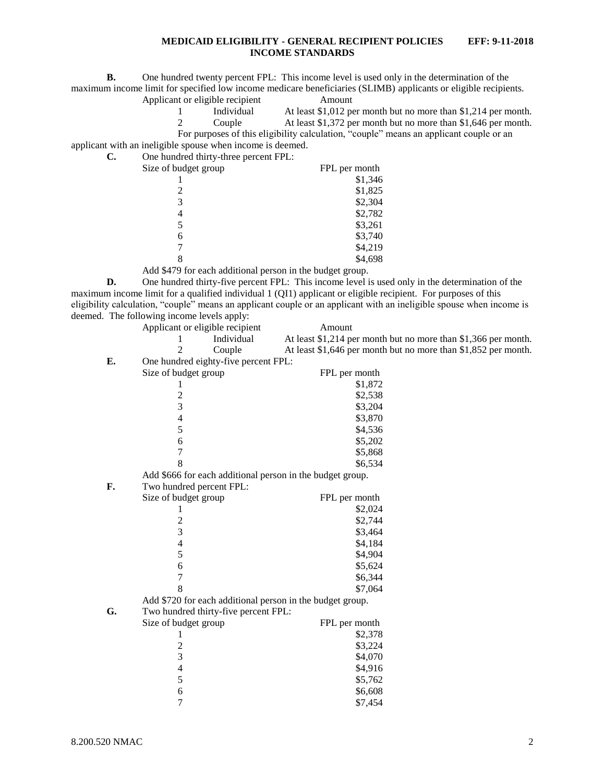**B.** One hundred twenty percent FPL: This income level is used only in the determination of the maximum income limit for specified low income medicare beneficiaries (SLIMB) applicants or eligible recipients.

Applicant or eligible recipient Amount

1 Individual At least \$1,012 per month but no more than \$1,214 per month.

2 Couple At least \$1,372 per month but no more than \$1,646 per month.

applicant with an ineligible spouse when income is deemed. **C.** One hundred thirty-three percent FPL:

| $\sigma$ one handled three $\mu$ and $\sigma$ percent $\sigma$ is $\sigma$ . |               |
|------------------------------------------------------------------------------|---------------|
| Size of budget group                                                         | FPL per month |
|                                                                              | \$1,346       |
| $\mathcal{D}_{\mathcal{L}}$                                                  | \$1,825       |
| 3                                                                            | \$2,304       |
| 4                                                                            | \$2,782       |
| 5                                                                            | \$3,261       |
| 6                                                                            | \$3,740       |
|                                                                              | \$4,219       |
|                                                                              | \$4,698       |
| $\lambda$ 11 $\bigcap A$ $\bigcap C$ ( 1 11. ) 1 ( 1 1 1 )                   |               |

Add \$479 for each additional person in the budget group.

**D.** One hundred thirty-five percent FPL: This income level is used only in the determination of the maximum income limit for a qualified individual 1 (QI1) applicant or eligible recipient. For purposes of this eligibility calculation, "couple" means an applicant couple or an applicant with an ineligible spouse when income is deemed. The following income levels apply:

|    | Applicant or eligible recipient                           | Amount                                                         |
|----|-----------------------------------------------------------|----------------------------------------------------------------|
|    | Individual                                                | At least \$1,214 per month but no more than \$1,366 per month. |
|    | 2<br>Couple                                               | At least \$1,646 per month but no more than \$1,852 per month. |
| E. | One hundred eighty-five percent FPL:                      |                                                                |
|    | Size of budget group                                      | FPL per month                                                  |
|    | 1                                                         | \$1,872                                                        |
|    |                                                           | \$2,538                                                        |
|    | $\frac{2}{3}$                                             | \$3,204                                                        |
|    | $\overline{\mathcal{L}}$                                  | \$3,870                                                        |
|    | 5                                                         | \$4,536                                                        |
|    | 6                                                         | \$5,202                                                        |
|    | 7                                                         | \$5,868                                                        |
|    | 8                                                         | \$6,534                                                        |
|    | Add \$666 for each additional person in the budget group. |                                                                |
| F. | Two hundred percent FPL:                                  |                                                                |
|    | Size of budget group                                      | FPL per month                                                  |
|    | 1                                                         | \$2,024                                                        |
|    |                                                           | \$2,744                                                        |
|    | $\frac{2}{3}$                                             | \$3,464                                                        |
|    | 4                                                         | \$4,184                                                        |
|    | 5                                                         | \$4,904                                                        |
|    | 6                                                         | \$5,624                                                        |
|    | 7                                                         | \$6,344                                                        |
|    | 8                                                         | \$7,064                                                        |
|    | Add \$720 for each additional person in the budget group. |                                                                |
| G. | Two hundred thirty-five percent FPL:                      |                                                                |
|    | Size of budget group                                      | FPL per month                                                  |
|    | 1                                                         | \$2,378                                                        |
|    | $\overline{c}$                                            | \$3,224                                                        |
|    | 3                                                         | \$4,070                                                        |
|    | $\overline{4}$                                            | \$4,916                                                        |
|    | 5                                                         | \$5,762                                                        |
|    | 6                                                         | \$6,608                                                        |
|    | 7                                                         | \$7,454                                                        |

For purposes of this eligibility calculation, "couple" means an applicant couple or an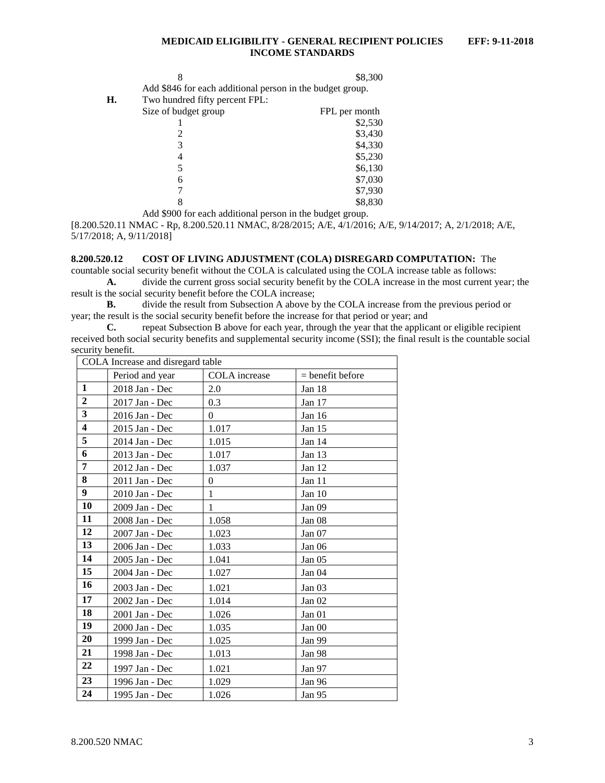|    |                                                           | \$8,300 |
|----|-----------------------------------------------------------|---------|
|    | Add \$846 for each additional person in the budget group. |         |
| H. | Two hundred fifty percent FPL:                            |         |

| FPL per month |
|---------------|
| \$2,530       |
| \$3,430       |
| \$4,330       |
| \$5,230       |
| \$6,130       |
| \$7,030       |
| \$7,930       |
| \$8,830       |
|               |

Add \$900 for each additional person in the budget group.

[8.200.520.11 NMAC - Rp, 8.200.520.11 NMAC, 8/28/2015; A/E, 4/1/2016; A/E, 9/14/2017; A, 2/1/2018; A/E, 5/17/2018; A, 9/11/2018]

#### <span id="page-3-0"></span>**8.200.520.12 COST OF LIVING ADJUSTMENT (COLA) DISREGARD COMPUTATION:** The

countable social security benefit without the COLA is calculated using the COLA increase table as follows: **A.** divide the current gross social security benefit by the COLA increase in the most current year; the result is the social security benefit before the COLA increase;

**B.** divide the result from Subsection A above by the COLA increase from the previous period or year; the result is the social security benefit before the increase for that period or year; and

**C.** repeat Subsection B above for each year, through the year that the applicant or eligible recipient received both social security benefits and supplemental security income (SSI); the final result is the countable social security benefit.

| COLA Increase and disregard table |                 |               |                    |  |  |  |
|-----------------------------------|-----------------|---------------|--------------------|--|--|--|
|                                   | Period and year | COLA increase | $=$ benefit before |  |  |  |
| $\mathbf{1}$                      | 2018 Jan - Dec  | 2.0           | Jan 18             |  |  |  |
| $\overline{2}$                    | 2017 Jan - Dec  | 0.3           | Jan 17             |  |  |  |
| $\overline{\mathbf{3}}$           | 2016 Jan - Dec  | $\Omega$      | Jan 16             |  |  |  |
| $\overline{\mathbf{4}}$           | 2015 Jan - Dec  | 1.017         | Jan $15$           |  |  |  |
| 5                                 | 2014 Jan - Dec  | 1.015         | Jan 14             |  |  |  |
| 6                                 | 2013 Jan - Dec  | 1.017         | Jan 13             |  |  |  |
| 7                                 | 2012 Jan - Dec  | 1.037         | Jan $12$           |  |  |  |
| 8                                 | 2011 Jan - Dec  | $\Omega$      | Jan 11             |  |  |  |
| 9                                 | 2010 Jan - Dec  | 1             | Jan 10             |  |  |  |
| 10                                | 2009 Jan - Dec  | 1             | Jan 09             |  |  |  |
| 11                                | 2008 Jan - Dec  | 1.058         | Jan 08             |  |  |  |
| 12                                | 2007 Jan - Dec  | 1.023         | Jan 07             |  |  |  |
| 13                                | 2006 Jan - Dec  | 1.033         | Jan <sub>06</sub>  |  |  |  |
| 14                                | 2005 Jan - Dec  | 1.041         | Jan 05             |  |  |  |
| 15                                | 2004 Jan - Dec  | 1.027         | Jan 04             |  |  |  |
| 16                                | 2003 Jan - Dec  | 1.021         | Jan 03             |  |  |  |
| 17                                | 2002 Jan - Dec  | 1.014         | Jan 02             |  |  |  |
| 18                                | 2001 Jan - Dec  | 1.026         | Jan 01             |  |  |  |
| 19                                | 2000 Jan - Dec  | 1.035         | Jan 00             |  |  |  |
| 20                                | 1999 Jan - Dec  | 1.025         | Jan 99             |  |  |  |
| 21                                | 1998 Jan - Dec  | 1.013         | Jan 98             |  |  |  |
| 22                                | 1997 Jan - Dec  | 1.021         | Jan 97             |  |  |  |
| 23                                | 1996 Jan - Dec  | 1.029         | Jan 96             |  |  |  |
| 24                                | 1995 Jan - Dec  | 1.026         | Jan 95             |  |  |  |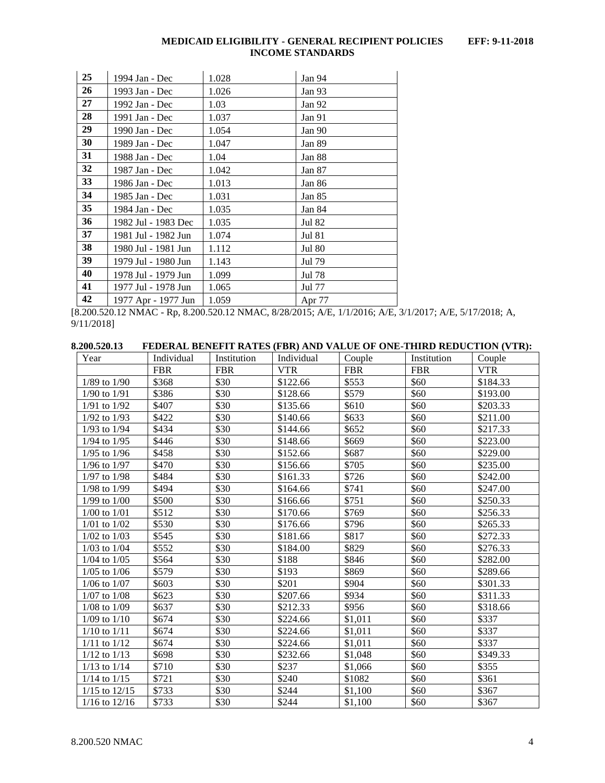| 25 | 1994 Jan - Dec      | 1.028 | Jan 94        |
|----|---------------------|-------|---------------|
| 26 | 1993 Jan - Dec      | 1.026 | Jan 93        |
| 27 | 1992 Jan - Dec      | 1.03  | Jan 92        |
| 28 | 1991 Jan - Dec      | 1.037 | Jan 91        |
| 29 | 1990 Jan - Dec      | 1.054 | Jan 90        |
| 30 | 1989 Jan - Dec      | 1.047 | Jan 89        |
| 31 | 1988 Jan - Dec      | 1.04  | Jan 88        |
| 32 | 1987 Jan - Dec      | 1.042 | Jan 87        |
| 33 | 1986 Jan - Dec      | 1.013 | Jan 86        |
| 34 | 1985 Jan - Dec      | 1.031 | Jan 85        |
| 35 | 1984 Jan - Dec      | 1.035 | Jan $84$      |
| 36 | 1982 Jul - 1983 Dec | 1.035 | Jul 82        |
| 37 | 1981 Jul - 1982 Jun | 1.074 | <b>Jul 81</b> |
| 38 | 1980 Jul - 1981 Jun | 1.112 | <b>Jul 80</b> |
| 39 | 1979 Jul - 1980 Jun | 1.143 | Jul 79        |
| 40 | 1978 Jul - 1979 Jun | 1.099 | Jul 78        |
| 41 | 1977 Jul - 1978 Jun | 1.065 | Jul 77        |
| 42 | 1977 Apr - 1977 Jun | 1.059 | Apr 77        |

[8.200.520.12 NMAC - Rp, 8.200.520.12 NMAC, 8/28/2015; A/E, 1/1/2016; A/E, 3/1/2017; A/E, 5/17/2018; A,  $9/11/2018$ ]

<span id="page-4-0"></span>

| 8.200.520.13     | FEDERAL BENEFIT RATES (FBR) AND VALUE OF ONE-THIRD REDUCTION (VTR): |             |            |            |             |          |
|------------------|---------------------------------------------------------------------|-------------|------------|------------|-------------|----------|
| Year             | Individual                                                          | Institution | Individual | couple     | Institution | `ouple   |
|                  | FBR                                                                 | FBR         | /TR        | <b>FBR</b> | <b>FBR</b>  | VTR      |
| $1/89$ to $1/90$ | \$368                                                               | \$30        | 6122.66    | \$553      | \$60        | \$184.33 |

| $1/89$ to $1/90$  | \$368 | \$30 | \$122.66 | \$553   | \$60 | \$184.33 |
|-------------------|-------|------|----------|---------|------|----------|
| $1/90$ to $1/91$  | \$386 | \$30 | \$128.66 | \$579   | \$60 | \$193.00 |
| $1/91$ to $1/92$  | \$407 | \$30 | \$135.66 | \$610   | \$60 | \$203.33 |
| $1/92$ to $1/93$  | \$422 | \$30 | \$140.66 | \$633   | \$60 | \$211.00 |
| $1/93$ to $1/94$  | \$434 | \$30 | \$144.66 | \$652   | \$60 | \$217.33 |
| $1/94$ to $1/95$  | \$446 | \$30 | \$148.66 | \$669   | \$60 | \$223.00 |
| $1/95$ to $1/96$  | \$458 | \$30 | \$152.66 | \$687   | \$60 | \$229.00 |
| $1/96$ to $1/97$  | \$470 | \$30 | \$156.66 | \$705   | \$60 | \$235.00 |
| $1/97$ to $1/98$  | \$484 | \$30 | \$161.33 | \$726   | \$60 | \$242.00 |
| $1/98$ to $1/99$  | \$494 | \$30 | \$164.66 | \$741   | \$60 | \$247.00 |
| $1/99$ to $1/00$  | \$500 | \$30 | \$166.66 | \$751   | \$60 | \$250.33 |
| $1/00$ to $1/01$  | \$512 | \$30 | \$170.66 | \$769   | \$60 | \$256.33 |
| $1/01$ to $1/02$  | \$530 | \$30 | \$176.66 | \$796   | \$60 | \$265.33 |
| $1/02$ to $1/03$  | \$545 | \$30 | \$181.66 | \$817   | \$60 | \$272.33 |
| $1/03$ to $1/04$  | \$552 | \$30 | \$184.00 | \$829   | \$60 | \$276.33 |
| $1/04$ to $1/05$  | \$564 | \$30 | \$188    | \$846   | \$60 | \$282.00 |
| $1/05$ to $1/06$  | \$579 | \$30 | \$193    | \$869   | \$60 | \$289.66 |
| $1/06$ to $1/07$  | \$603 | \$30 | \$201    | \$904   | \$60 | \$301.33 |
| $1/07$ to $1/08$  | \$623 | \$30 | \$207.66 | \$934   | \$60 | \$311.33 |
| $1/08$ to $1/09$  | \$637 | \$30 | \$212.33 | \$956   | \$60 | \$318.66 |
| $1/09$ to $1/10$  | \$674 | \$30 | \$224.66 | \$1,011 | \$60 | \$337    |
| $1/10$ to $1/11$  | \$674 | \$30 | \$224.66 | \$1,011 | \$60 | \$337    |
| $1/11$ to $1/12$  | \$674 | \$30 | \$224.66 | \$1,011 | \$60 | \$337    |
| $1/12$ to $1/13$  | \$698 | \$30 | \$232.66 | \$1,048 | \$60 | \$349.33 |
| $1/13$ to $1/14$  | \$710 | \$30 | \$237    | \$1,066 | \$60 | \$355    |
| $1/14$ to $1/15$  | \$721 | \$30 | \$240    | \$1082  | \$60 | \$361    |
| $1/15$ to $12/15$ | \$733 | \$30 | \$244    | \$1,100 | \$60 | \$367    |
| $1/16$ to $12/16$ | \$733 | \$30 | \$244    | \$1,100 | \$60 | \$367    |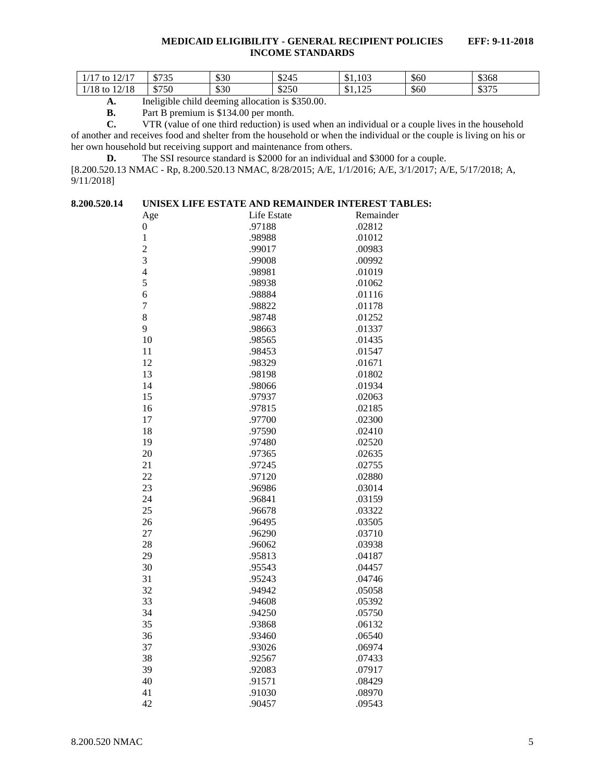| 12/17<br>14 <sub>7</sub><br>to<br>$\mathbf{I}$ | 0.727<br>ر د ۱ م | \$30 | \$245 | \$1,103<br>$\triangle$              | \$60 | \$368        |
|------------------------------------------------|------------------|------|-------|-------------------------------------|------|--------------|
| 12/18<br>'10.<br>to<br>10                      | \$750            | \$30 | \$250 | $1 \cap F$<br>$\triangle$<br>01,123 | \$60 | 0.27<br>ر رو |

**A.** Ineligible child deeming allocation is \$350.00.

**B.** Part B premium is \$134.00 per month.<br>**C.** VTR (value of one third reduction) is u

**C.** VTR (value of one third reduction) is used when an individual or a couple lives in the household

of another and receives food and shelter from the household or when the individual or the couple is living on his or her own household but receiving support and maintenance from others.

**D.** The SSI resource standard is \$2000 for an individual and \$3000 for a couple.

[8.200.520.13 NMAC - Rp, 8.200.520.13 NMAC, 8/28/2015; A/E, 1/1/2016; A/E, 3/1/2017; A/E, 5/17/2018; A, 9/11/2018]

<span id="page-5-0"></span>

| 8.200.520.14<br>UNISEX LIFE ESTATE AND REMAINDER INTEREST TABLES: |  |  |
|-------------------------------------------------------------------|--|--|
|-------------------------------------------------------------------|--|--|

| Age              | Life Estate | Remainder |
|------------------|-------------|-----------|
| $\boldsymbol{0}$ | .97188      | .02812    |
| $\mathbf 1$      | .98988      | .01012    |
| $\overline{c}$   | .99017      | .00983    |
| 3                | .99008      | .00992    |
| $\overline{4}$   | .98981      | .01019    |
| 5                | .98938      | .01062    |
| 6                | .98884      | .01116    |
| $\overline{7}$   | .98822      | .01178    |
| 8                | .98748      | .01252    |
| 9                | .98663      | .01337    |
| 10               | .98565      | .01435    |
| 11               | .98453      | .01547    |
| 12               | .98329      | .01671    |
| 13               | .98198      | .01802    |
| 14               | .98066      | .01934    |
| 15               | .97937      | .02063    |
| 16               | .97815      | .02185    |
| 17               | .97700      | .02300    |
| 18               | .97590      | .02410    |
| 19               | .97480      | .02520    |
| 20               | .97365      | .02635    |
| 21               | .97245      | .02755    |
| 22               | .97120      | .02880    |
| 23               | .96986      | .03014    |
| 24               | .96841      | .03159    |
| 25               | .96678      | .03322    |
| 26               | .96495      | .03505    |
| 27               | .96290      | .03710    |
| 28               | .96062      | .03938    |
| 29               | .95813      | .04187    |
| 30               | .95543      | .04457    |
| 31               | .95243      | .04746    |
| 32               | .94942      | .05058    |
| 33               | .94608      | .05392    |
| 34               | .94250      | .05750    |
| 35               | .93868      | .06132    |
| 36               | .93460      | .06540    |
| 37               | .93026      | .06974    |
| 38               | .92567      | .07433    |
| 39               | .92083      | .07917    |
| 40               | .91571      | .08429    |
| 41               | .91030      | .08970    |
| 42               | .90457      | .09543    |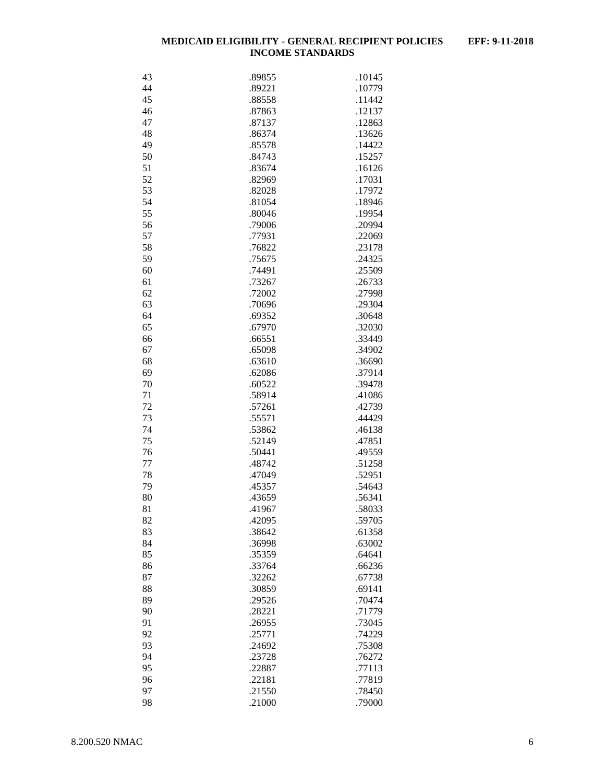|    |        | .10145 |
|----|--------|--------|
| 43 | .89855 |        |
| 44 | .89221 | .10779 |
| 45 | .88558 | .11442 |
| 46 | .87863 | .12137 |
| 47 | .87137 | .12863 |
|    |        |        |
| 48 | .86374 | .13626 |
| 49 | .85578 | .14422 |
| 50 | .84743 | .15257 |
| 51 | .83674 | .16126 |
| 52 | .82969 | .17031 |
| 53 | .82028 | .17972 |
|    |        |        |
| 54 | .81054 | .18946 |
| 55 | .80046 | .19954 |
| 56 | .79006 | .20994 |
| 57 | .77931 | .22069 |
| 58 | .76822 | .23178 |
| 59 | .75675 | .24325 |
|    |        |        |
| 60 | .74491 | .25509 |
| 61 | .73267 | .26733 |
| 62 | .72002 | .27998 |
| 63 | .70696 | .29304 |
| 64 | .69352 | .30648 |
| 65 | .67970 |        |
|    |        | .32030 |
| 66 | .66551 | .33449 |
| 67 | .65098 | .34902 |
| 68 | .63610 | .36690 |
| 69 | .62086 | .37914 |
| 70 | .60522 | .39478 |
| 71 | .58914 | .41086 |
|    |        |        |
| 72 | .57261 | .42739 |
| 73 | .55571 | .44429 |
| 74 | .53862 | .46138 |
| 75 | .52149 | .47851 |
| 76 | .50441 | .49559 |
| 77 | .48742 | .51258 |
|    |        |        |
| 78 | .47049 | .52951 |
| 79 | .45357 | .54643 |
| 80 | .43659 | .56341 |
| 81 | .41967 | .58033 |
| 82 | .42095 | .59705 |
| 83 | .38642 | .61358 |
|    |        |        |
| 84 | .36998 | .63002 |
| 85 | .35359 | .64641 |
| 86 | .33764 | .66236 |
| 87 | .32262 | .67738 |
| 88 | .30859 | .69141 |
| 89 | .29526 | .70474 |
|    |        |        |
| 90 | .28221 | .71779 |
| 91 | .26955 | .73045 |
| 92 | .25771 | .74229 |
| 93 | .24692 | .75308 |
| 94 | .23728 | .76272 |
| 95 | .22887 | .77113 |
|    | .22181 |        |
| 96 |        | .77819 |
| 97 | .21550 | .78450 |
| 98 | .21000 | .79000 |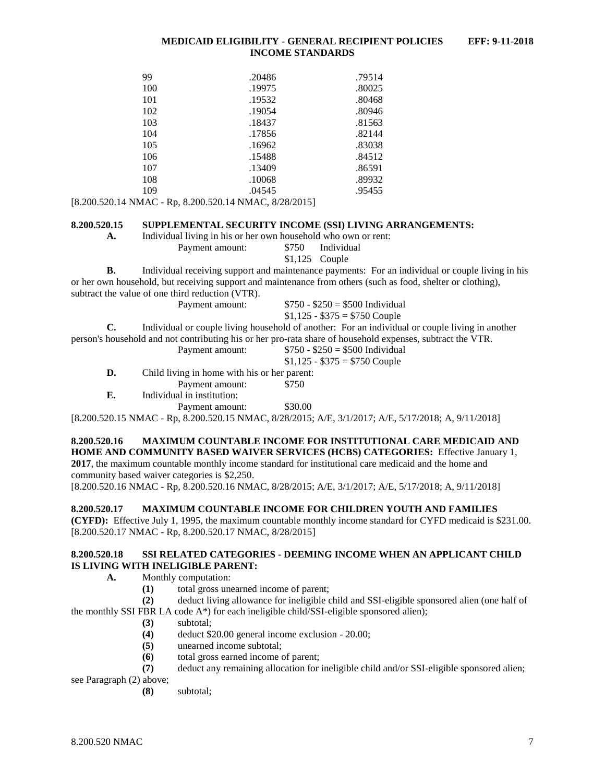| 99  | .20486 | .79514 |
|-----|--------|--------|
| 100 | .19975 | .80025 |
| 101 | .19532 | .80468 |
| 102 | .19054 | .80946 |
| 103 | .18437 | .81563 |
| 104 | .17856 | .82144 |
| 105 | .16962 | .83038 |
| 106 | .15488 | .84512 |
| 107 | .13409 | .86591 |
| 108 | .10068 | .89932 |
| 109 | .04545 | .95455 |
|     |        |        |

[8.200.520.14 NMAC - Rp, 8.200.520.14 NMAC, 8/28/2015]

#### <span id="page-7-0"></span>**8.200.520.15 SUPPLEMENTAL SECURITY INCOME (SSI) LIVING ARRANGEMENTS:**

**A.** Individual living in his or her own household who own or rent:

Payment amount: \$750 Individual

\$1,125 Couple

**B.** Individual receiving support and maintenance payments: For an individual or couple living in his or her own household, but receiving support and maintenance from others (such as food, shelter or clothing), subtract the value of one third reduction (VTR).

| Payment amount: | $$750 - $250 = $500$ Individual |  |
|-----------------|---------------------------------|--|
|                 | $$1,125 - $375 = $750$ Couple   |  |

**C.** Individual or couple living household of another: For an individual or couple living in another person's household and not contributing his or her pro-rata share of household expenses, subtract the VTR.

|    | Payment amount:                              | $$750 - $250 = $500$ Individual |
|----|----------------------------------------------|---------------------------------|
|    |                                              | $$1,125 - $375 = $750$ Couple   |
| D. | Child living in home with his or her parent: |                                 |
|    | Payment amount:                              | \$750                           |
| E. | Individual in institution:                   |                                 |
|    | Payment amount:                              | \$30.00                         |

[8.200.520.15 NMAC - Rp, 8.200.520.15 NMAC, 8/28/2015; A/E, 3/1/2017; A/E, 5/17/2018; A, 9/11/2018]

## <span id="page-7-1"></span>**8.200.520.16 MAXIMUM COUNTABLE INCOME FOR INSTITUTIONAL CARE MEDICAID AND HOME AND COMMUNITY BASED WAIVER SERVICES (HCBS) CATEGORIES:** Effective January 1,

**2017**, the maximum countable monthly income standard for institutional care medicaid and the home and community based waiver categories is \$2,250.

[8.200.520.16 NMAC - Rp, 8.200.520.16 NMAC, 8/28/2015; A/E, 3/1/2017; A/E, 5/17/2018; A, 9/11/2018]

## <span id="page-7-2"></span>**8.200.520.17 MAXIMUM COUNTABLE INCOME FOR CHILDREN YOUTH AND FAMILIES**

**(CYFD):** Effective July 1, 1995, the maximum countable monthly income standard for CYFD medicaid is \$231.00. [8.200.520.17 NMAC - Rp, 8.200.520.17 NMAC, 8/28/2015]

#### <span id="page-7-3"></span>**8.200.520.18 SSI RELATED CATEGORIES - DEEMING INCOME WHEN AN APPLICANT CHILD IS LIVING WITH INELIGIBLE PARENT:**

**A.** Monthly computation:

**(1)** total gross unearned income of parent;

**(2)** deduct living allowance for ineligible child and SSI-eligible sponsored alien (one half of the monthly SSI FBR LA code  $A^*$ ) for each ineligible child/SSI-eligible sponsored alien);

- **(3)** subtotal;
- **(4)** deduct \$20.00 general income exclusion 20.00;
- **(5)** unearned income subtotal;
- **(6)** total gross earned income of parent;
- **(7)** deduct any remaining allocation for ineligible child and/or SSI-eligible sponsored alien;

see Paragraph (2) above;

**(8)** subtotal;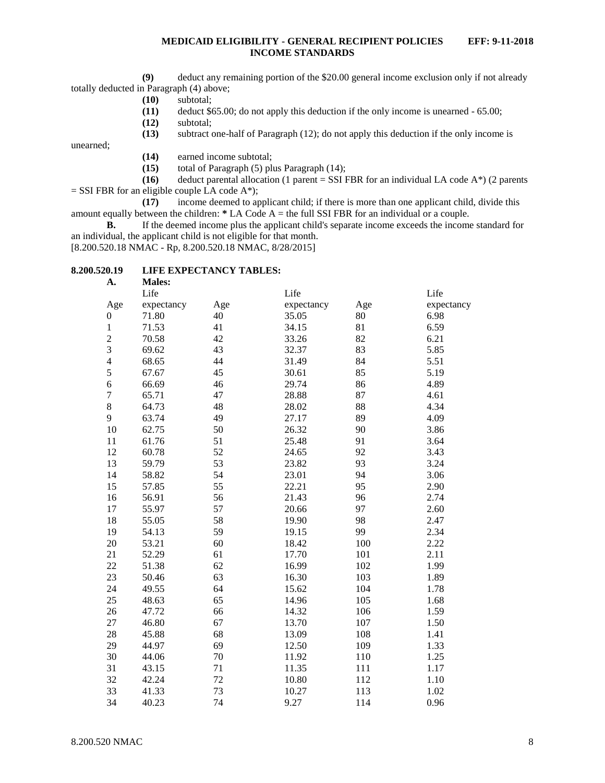**(9)** deduct any remaining portion of the \$20.00 general income exclusion only if not already totally deducted in Paragraph (4) above;

- **(10)** subtotal;
- **(11)** deduct \$65.00; do not apply this deduction if the only income is unearned 65.00;
- **(12)** subtotal;
- **(13)** subtract one-half of Paragraph (12); do not apply this deduction if the only income is

unearned;

- **(14)** earned income subtotal;
- **(15)** total of Paragraph (5) plus Paragraph (14);

**(16)** deduct parental allocation (1 parent = SSI FBR for an individual LA code A\*) (2 parents  $=$  SSI FBR for an eligible couple LA code A\*);

**(17)** income deemed to applicant child; if there is more than one applicant child, divide this amount equally between the children: **\*** LA Code A = the full SSI FBR for an individual or a couple.

**B.** If the deemed income plus the applicant child's separate income exceeds the income standard for an individual, the applicant child is not eligible for that month.

[8.200.520.18 NMAC - Rp, 8.200.520.18 NMAC, 8/28/2015]

## <span id="page-8-0"></span>**8.200.520.19 LIFE EXPECTANCY TABLES:**

| A.               | <b>Males:</b> |     |            |     |            |
|------------------|---------------|-----|------------|-----|------------|
|                  | Life          |     | Life       |     | Life       |
| Age              | expectancy    | Age | expectancy | Age | expectancy |
| $\boldsymbol{0}$ | 71.80         | 40  | 35.05      | 80  | 6.98       |
| $\,1$            | 71.53         | 41  | 34.15      | 81  | 6.59       |
|                  | 70.58         | 42  | 33.26      | 82  | 6.21       |
| $\frac{2}{3}$    | 69.62         | 43  | 32.37      | 83  | 5.85       |
| $\overline{4}$   | 68.65         | 44  | 31.49      | 84  | 5.51       |
| 5                | 67.67         | 45  | 30.61      | 85  | 5.19       |
| 6                | 66.69         | 46  | 29.74      | 86  | 4.89       |
| $\overline{7}$   | 65.71         | 47  | 28.88      | 87  | 4.61       |
| 8                | 64.73         | 48  | 28.02      | 88  | 4.34       |
| 9                | 63.74         | 49  | 27.17      | 89  | 4.09       |
| 10               | 62.75         | 50  | 26.32      | 90  | 3.86       |
| 11               | 61.76         | 51  | 25.48      | 91  | 3.64       |
| 12               | 60.78         | 52  | 24.65      | 92  | 3.43       |
| 13               | 59.79         | 53  | 23.82      | 93  | 3.24       |
| 14               | 58.82         | 54  | 23.01      | 94  | 3.06       |
| 15               | 57.85         | 55  | 22.21      | 95  | 2.90       |
| 16               | 56.91         | 56  | 21.43      | 96  | 2.74       |
| 17               | 55.97         | 57  | 20.66      | 97  | 2.60       |
| 18               | 55.05         | 58  | 19.90      | 98  | 2.47       |
| 19               | 54.13         | 59  | 19.15      | 99  | 2.34       |
| 20               | 53.21         | 60  | 18.42      | 100 | 2.22       |
| 21               | 52.29         | 61  | 17.70      | 101 | 2.11       |
| 22               | 51.38         | 62  | 16.99      | 102 | 1.99       |
| 23               | 50.46         | 63  | 16.30      | 103 | 1.89       |
| 24               | 49.55         | 64  | 15.62      | 104 | 1.78       |
| 25               | 48.63         | 65  | 14.96      | 105 | 1.68       |
| 26               | 47.72         | 66  | 14.32      | 106 | 1.59       |
| 27               | 46.80         | 67  | 13.70      | 107 | 1.50       |
| 28               | 45.88         | 68  | 13.09      | 108 | 1.41       |
| 29               | 44.97         | 69  | 12.50      | 109 | 1.33       |
| 30               | 44.06         | 70  | 11.92      | 110 | 1.25       |
| 31               | 43.15         | 71  | 11.35      | 111 | 1.17       |
| 32               | 42.24         | 72  | 10.80      | 112 | 1.10       |
| 33               | 41.33         | 73  | 10.27      | 113 | 1.02       |
| 34               | 40.23         | 74  | 9.27       | 114 | 0.96       |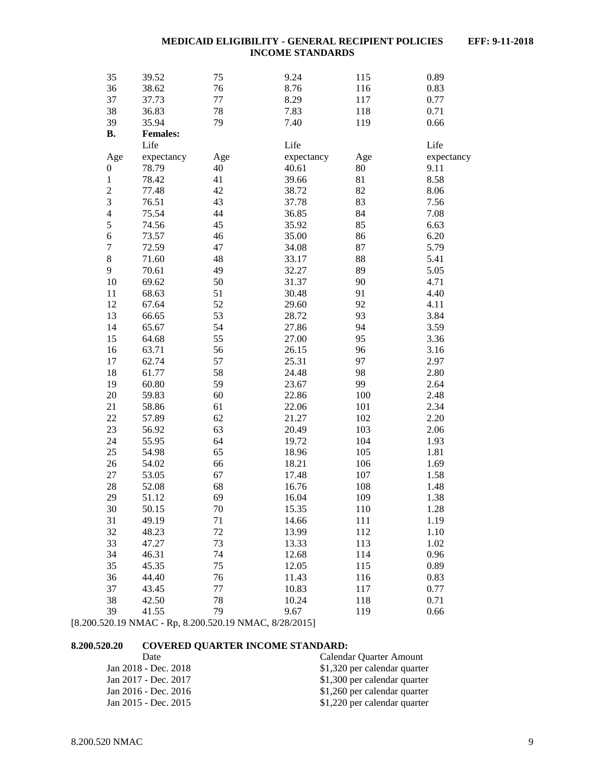| 35                      | 39.52                   | 75        | 9.24                | 115       | 0.89               |
|-------------------------|-------------------------|-----------|---------------------|-----------|--------------------|
| 36                      | 38.62                   | 76        | 8.76                | 116       | 0.83               |
| 37                      | 37.73                   | 77        | 8.29                | 117       | 0.77               |
| 38                      | 36.83                   | $78\,$    | 7.83                | 118       | 0.71               |
| 39                      | 35.94                   | 79        | 7.40                |           | 0.66               |
| <b>B.</b>               |                         |           |                     | 119       |                    |
|                         | <b>Females:</b><br>Life |           | Life                |           | Life               |
|                         |                         |           |                     |           |                    |
| Age                     | expectancy<br>78.79     | Age<br>40 | expectancy<br>40.61 | Age<br>80 | expectancy<br>9.11 |
| $\boldsymbol{0}$        |                         | 41        |                     |           | 8.58               |
| $\,1$                   | 78.42                   |           | 39.66               | 81        |                    |
| $\overline{\mathbf{c}}$ | 77.48                   | 42        | 38.72               | 82        | 8.06               |
| 3                       | 76.51                   | 43        | 37.78               | 83        | 7.56               |
| $\overline{4}$          | 75.54                   | 44        | 36.85               | 84        | 7.08               |
| 5                       | 74.56                   | 45        | 35.92               | 85        | 6.63               |
| $\overline{6}$          | 73.57                   | 46        | 35.00               | 86        | 6.20               |
| $\boldsymbol{7}$        | 72.59                   | 47        | 34.08               | 87        | 5.79               |
| $\,8\,$                 | 71.60                   | 48        | 33.17               | 88        | 5.41               |
| 9                       | 70.61                   | 49        | 32.27               | 89        | 5.05               |
| $10\,$                  | 69.62                   | 50        | 31.37               | 90        | 4.71               |
| 11                      | 68.63                   | 51        | 30.48               | 91        | 4.40               |
| 12                      | 67.64                   | 52        | 29.60               | 92        | 4.11               |
| 13                      | 66.65                   | 53        | 28.72               | 93        | 3.84               |
| 14                      | 65.67                   | 54        | 27.86               | 94        | 3.59               |
| 15                      | 64.68                   | 55        | 27.00               | 95        | 3.36               |
| 16                      | 63.71                   | 56        | 26.15               | 96        | 3.16               |
| 17                      | 62.74                   | 57        | 25.31               | 97        | 2.97               |
| 18                      | 61.77                   | 58        | 24.48               | 98        | 2.80               |
| 19                      | 60.80                   | 59        | 23.67               | 99        | 2.64               |
| 20                      | 59.83                   | 60        | 22.86               | 100       | 2.48               |
| 21                      | 58.86                   | 61        | 22.06               | 101       | 2.34               |
| 22                      | 57.89                   | 62        | 21.27               | 102       | 2.20               |
| 23                      | 56.92                   | 63        | 20.49               | 103       | 2.06               |
| 24                      | 55.95                   | 64        | 19.72               | 104       | 1.93               |
| 25                      | 54.98                   | 65        | 18.96               | 105       | 1.81               |
| 26                      | 54.02                   | 66        | 18.21               | 106       | 1.69               |
| 27                      | 53.05                   | 67        | 17.48               | 107       | 1.58               |
| 28                      | 52.08                   | 68        | 16.76               | 108       | 1.48               |
| 29                      | 51.12                   | 69        | 16.04               | 109       | 1.38               |
| 30                      | 50.15                   | 70        | 15.35               | 110       | 1.28               |
| 31                      | 49.19                   | 71        | 14.66               | 111       | 1.19               |
| 32                      | 48.23                   | 72        | 13.99               | 112       | 1.10               |
| 33                      | 47.27                   | 73        | 13.33               | 113       | 1.02               |
|                         |                         |           |                     |           |                    |
| 34                      | 46.31                   | 74        | 12.68               | 114       | 0.96               |
| 35                      | 45.35                   | 75        | 12.05               | 115       | 0.89               |
| 36                      | 44.40                   | 76        | 11.43               | 116       | 0.83               |
| 37                      | 43.45                   | 77        | 10.83               | 117       | 0.77               |
| 38                      | 42.50                   | 78        | 10.24               | 118       | 0.71               |
| 39                      | 41.55                   | 79        | 9.67                | 119       | 0.66               |

[8.200.520.19 NMAC - Rp, 8.200.520.19 NMAC, 8/28/2015]

### <span id="page-9-0"></span>**8.200.520.20 COVERED QUARTER INCOME STANDARD:**

| Date                 | Calendar Quarter Amount      |
|----------------------|------------------------------|
| Jan 2018 - Dec. 2018 | \$1,320 per calendar quarter |
| Jan 2017 - Dec. 2017 | \$1,300 per calendar quarter |
| Jan 2016 - Dec. 2016 | \$1,260 per calendar quarter |
| Jan 2015 - Dec. 2015 | \$1,220 per calendar quarter |